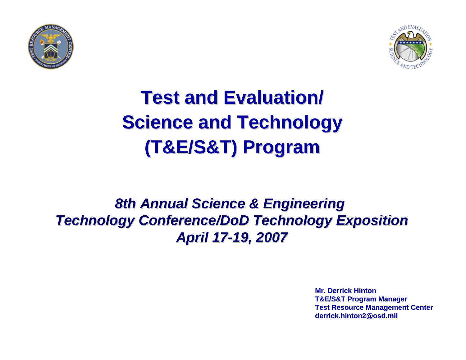



# **Test and Evaluation/ Test and Evaluation/ Science and Technology Science and Technology (T&E/S&T) Program (T&E/S&T) Program**

### **8th Annual Science & Engineering** *Technology Conference/DoD Technology Exposition Technology Conference/DoD Technology Exposition April 17 April 17-19, 2007 19, 2007*

**Mr. Derrick HintonT&E/S&T Program Manager T&E/S&T Program Manager Test Resource Management Center derrick.hinton2@osd.mil derrick.hinton2@osd.mil**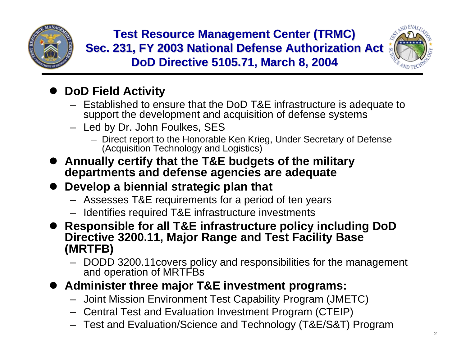

**Test Resource Management Center (TRMC) Sec. 231, FY 2003 National Defense Authorization Act DoD Directive 5105.71, March 8, 2004 DoD Directive 5105.71, March 8, 2004**



### **• DoD Field Activity**

- Established to ensure that the DoD T&E infrastructure is adequate to support the development and acquisition of defense systems
- Led by Dr. John Foulkes, SES
	- Direct report to the Honorable Ken Krieg, Under Secretary of Defense (Acquisition Technology and Logistics)
- **Annually certify that the T&E budgets of the military departments and defense agencies are adequate**
- **Develop a biennial strategic plan that** 
	- Assesses T&E requirements for a period of ten years
	- Identifies required T&E infrastructure investments

● Responsible for all T&E infrastructure policy including DoD **Directive 3200.11, Major Range and Test Facility Base (MRTFB)**

- DODD 3200.11covers policy and responsibilities for the management and operation of MRTFBs
- **Administer three major T&E investment programs:** 
	- Joint Mission Environment Test Capability Program (JMETC)
	- Central Test and Evaluation Investment Program (CTEIP)
	- Test and Evaluation/Science and Technology (T&E/S&T) Program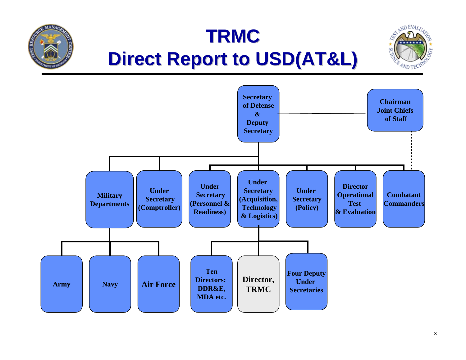# **TRMC Direct Report to USD(AT&L) Direct Report to USD(AT&L)**

**MANAO** 



 $3D$  EVA

 $4Nb$  TFC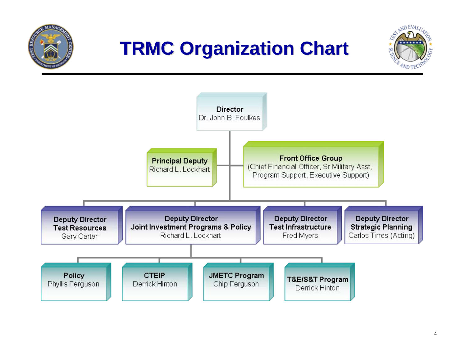

# **TRMC Organization Chart TRMC Organization Chart**



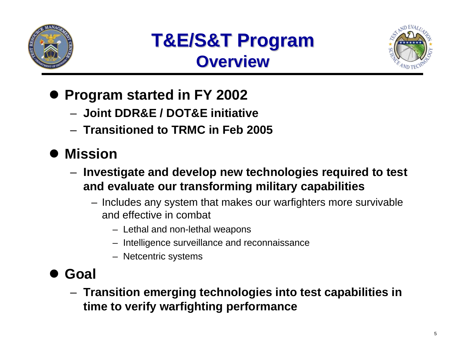



- **Program started in FY 2002** 
	- **Joint DDR&E / DOT&E initiative**
	- **Transitioned to TRMC in Feb 2005**

# $\bullet$  **Mission**

- **Investigate and develop new technologies required to test and evaluate our transforming military capabilities**
	- Includes any system that makes our warfighters more survivable and effective in combat
		- Lethal and non-lethal weapons
		- Intelligence surveillance and reconnaissance
		- Netcentric systems
- $\bullet$  **Goal**
	- **Transition emerging technologies into test capabilities in time to verify warfighting performance**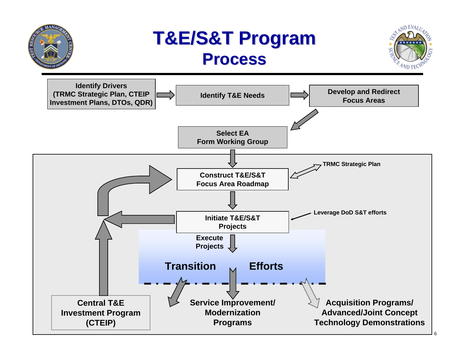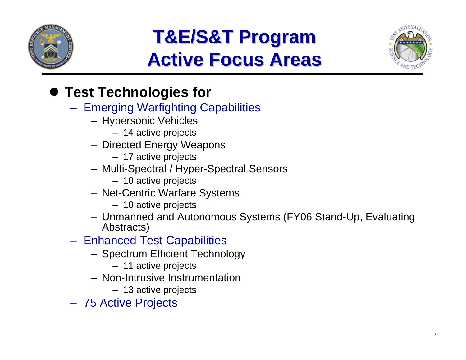

# **T&E/S&T Program T&E/S&T Program Active Focus Areas Active Focus Areas**



## **• Test Technologies for**

- Emerging Warfighting Capabilities
	- Hypersonic Vehicles
		- 14 active projects
	- Directed Energy Weapons
		- 17 active projects
	- Multi-Spectral / Hyper-Spectral Sensors
		- 10 active projects
	- Net-Centric Warfare Systems
		- 10 active projects
	- Unmanned and Autonomous Systems (FY06 Stand-Up, Evaluating Abstracts)
- Enhanced Test Capabilities
	- Spectrum Efficient Technology
		- 11 active projects
	- Non-Intrusive Instrumentation
		- 13 active projects
- 75 Active Projects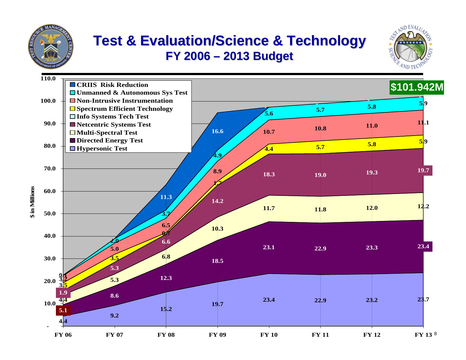

**in Millions**

#### **Test & Evaluation/Science & Technology FY 2006 FY 2006 – –2013 Budget 2013 Budget**



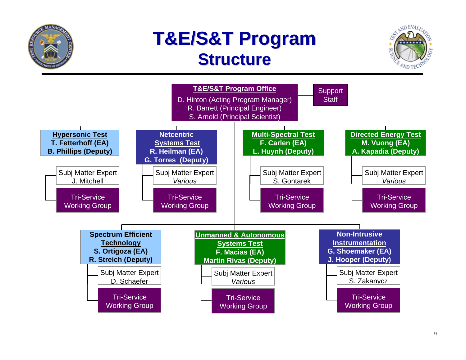

# **T&E/S&T Program T&E/S&T Program Structure Structure**



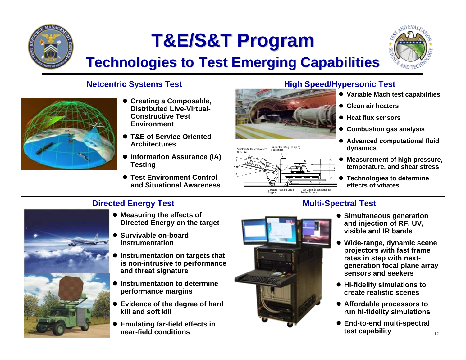

# **T&E/S&T Program T&E/S&T Program**



# **Technologies to Test Emerging Capabilities**



- **Creating a Composable, Distributed Live-Virtual-Constructive Test Environment**
- T&E of Service Oriented **Architectures**
- **Information Assurance (IA) Testing**
- $\bullet$  **Test Environment Control and Situational Awareness**

#### **Directed Energy Test Multi-Spectral Test**



- **Measuring the effects of Directed Energy on the target**
- **Survivable on-board instrumentation**
- O **Instrumentation on targets that is non-intrusive to performance and threat signature**
- **Instrumentation to determine performance margins**
- **Evidence of the degree of hard kill and soft kill**
- O **Emulating far-field effects in near-field conditions**



- **Variable Mach test capabilities**
- **Clean air heaters**
- Heat flux sensors
- **Combustion gas analysis**
- **Advanced computational fluid dynamics**
- e **Measurement of high pressure, temperature, and shear stress**
- e **Technologies to determine effects of vitiates**





- **Simultaneous generation and injection of RF, UV, visible and IR bands**
- O **Wide-range, dynamic scene projectors with fast frame rates in step with nextgeneration focal plane array sensors and seekers**
- $\bullet$  **Hi-fidelity simulations to create realistic scenes**
- **Affordable processors to run hi-fidelity simulations**
- End-to-end multi-spectral **test capability**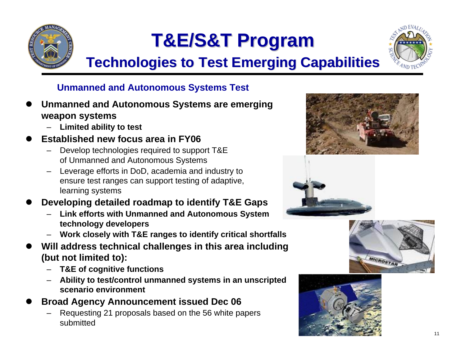

# **T&E/S&T Program T&E/S&T Program**



# **Technologies to Test Emerging Capabilities**

### **Unmanned and Autonomous Systems Test**

- $\bullet$  **Unmanned and Autonomous Systems are emerging weapon systems**
	- **Limited ability to test**
- $\bullet$  **Established new focus area in FY06**
	- Develop technologies required to support T&E of Unmanned and Autonomous Systems
	- Leverage efforts in DoD, academia and industry to ensure test ranges can support testing of adaptive, learning systems
- $\bullet$  **Developing detailed roadmap to identify T&E Gaps**
	- **Link efforts with Unmanned and Autonomous System technology developers**
	- **Work closely with T&E ranges to identify critical shortfalls**
- $\bullet$  **Will address technical challenges in this area including (but not limited to):**
	- **T&E of cognitive functions**
	- **Ability to test/control unmanned systems in an unscripted scenario environment**
- $\bullet$  **Broad Agency Announcement issued Dec 06**
	- Requesting 21 proposals based on the 56 white papers submitted







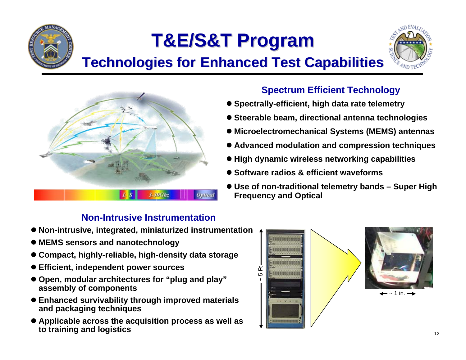

# **T&E/S&T Program T&E/S&T Program**

## **Technologies for Enhanced Test Capabilities**





#### **Spectrum Efficient Technology**

- **Spectrally-efficient, high data rate telemetry**
- $\bullet$  **Steerable beam, directional antenna technologies**
- Microelectromechanical Systems (MEMS) antennas
- **Advanced modulation and compression techniques**
- $\bullet$  **High dynamic wireless networking capabilities**
- Software radios & efficient waveforms
- z **Use of non-traditional telemetry bands – Super High Frequency and Optical**

### **Non-Intrusive Instrumentation**

- z **Non-intrusive, integrated, miniaturized instrumentation**
- $\bullet$  **MEMS sensors and nanotechnology**
- **Compact, highly-reliable, high-density data storage**
- $\bullet$  **Efficient, independent power sources**
- **Open, modular architectures for "plug and play" assembly of components**
- **Enhanced survivability through improved materials and packaging techniques**
- **Applicable across the acquisition process as well as to training and logistics**

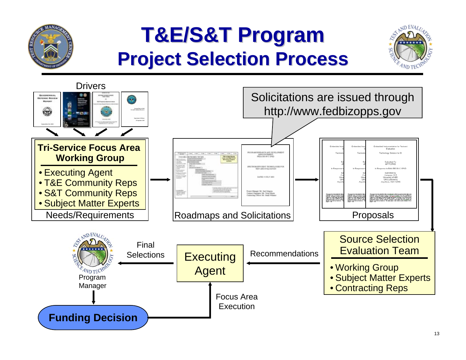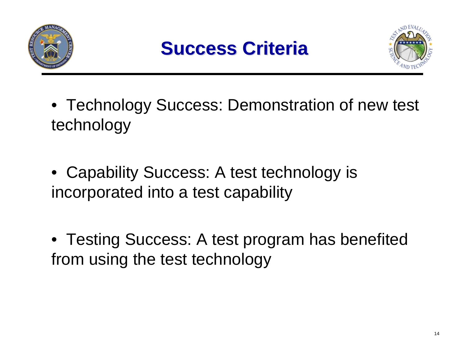





- Technology Success: Demonstration of new test technology
- Capability Success: A test technology is incorporated into a test capability
- Testing Success: A test program has benefited from using the test technology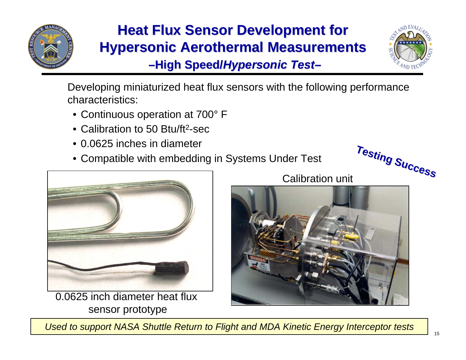

# **Heat Flux Sensor Development for Hypersonic Aerothermal Measurements**

**-High Speed/Hypersonic Test-**



**Success**

**Success**

**Testing**

**Testing**

Developing miniaturized heat flux sensors with the following performance characteristics:

- Continuous operation at 700° F
- Calibration to 50 Btu/ft 2-sec
- 0.0625 inches in diameter
- Compatible with embedding in Systems Under Test



0.0625 inch diameter heat flux sensor prototype





*Used to support NASA Shuttle Return to Flight and MDA Kinetic Energy Interceptor tests*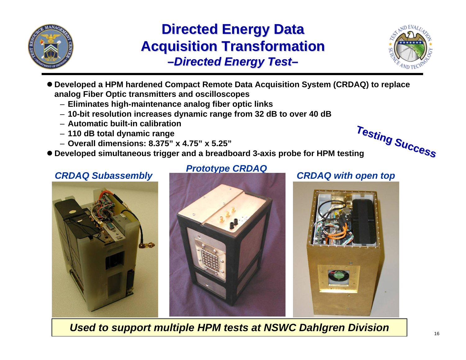

### **Directed Energy Data Acquisition Transformation -Directed Energy Test-**



**Success**

**Success**

- Developed a HPM hardened Compact Remote Data Acquisition System (CRDAQ) to replace **analog Fiber Optic transmitters and oscilloscopes**
	- **Eliminates high-maintenance analog fiber optic links**
	- **10-bit resolution increases dynamic range from 32 dB to over 40 dB**
	- **Automatic built-in calibration**
	- **110 dB total dynamic range**
	- **Overall dimensions: 8.375" x 4.75" x 5.25"**
- **Developed simultaneous trigger and a breadboard 3-axis probe for HPM testing**

## *CRDAQ Subassembly CRDAQ with open top Prototype CRDAQ*





**Testing**

**Testing**



*Used to support multiple HPM tests at NSWC Dahlgren Division*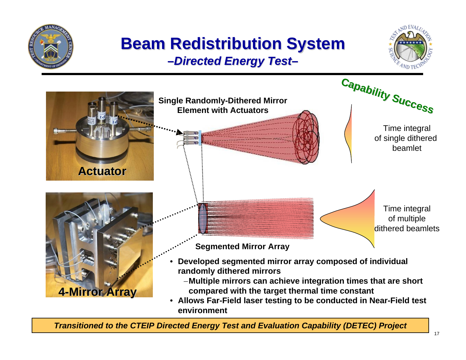

• **Allows Far-Field laser testing to be conducted in Near-Field test environment**

*Transitioned to the CTEIP Directed Energy Test and Evaluation Capability (DETEC) Project*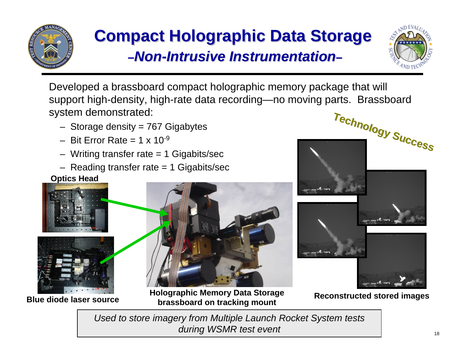

# **Compact Holographic Data Storage** *–Non-Intrusive Instrumentation Intrusive Instrumentation–*



Developed a brassboard compact holographic memory package that will support high-density, high-rate data recording—no moving parts. Brassboard system demonstrated:

- $-$  Storage density = 767 Gigabytes
- $-$  Bit Frror Rate  $= 1 \times 10^{-9}$
- $-$  Writing transfer rate  $= 1$  Gigabits/sec
- Reading transfer rate = 1 Gigabits/sec

**Optics Head**





**Blue diode laser source**



**Holographic Memory Data Storage brassboard on tracking mount**



**Reconstructed stored images**

*Used to store imagery from Multiple Launch Rocket System tests during WSMR test event*